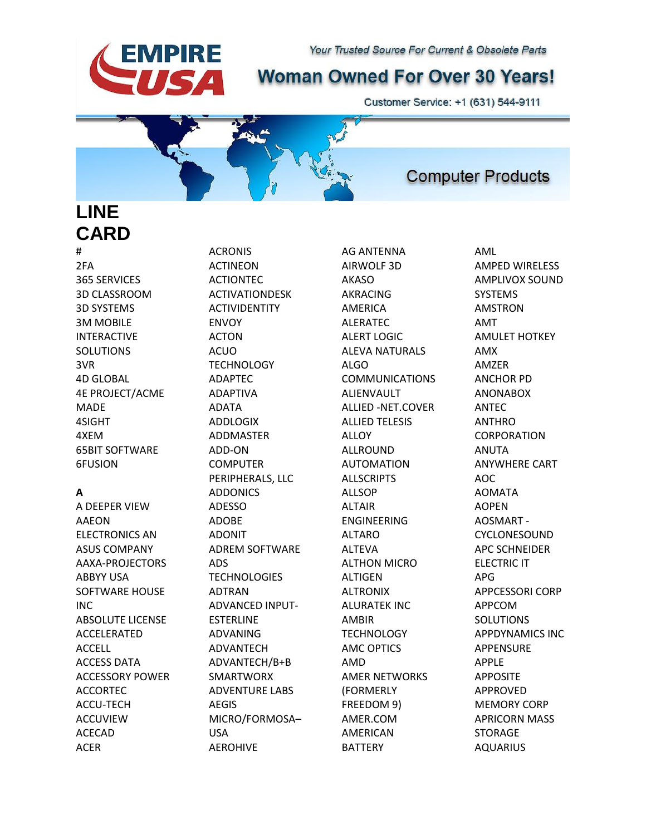# **Woman Owned For Over 30 Years!**

Customer Service: +1 (631) 544-9111

**LINE CARD**

**EMPIRE** 

# 2FA 365 SERVICES 3D CLASSROOM 3D SYSTEMS 3M MOBILE INTERACTIVE SOLUTIONS 3VR 4D GLOBAL 4E PROJECT/ACME MADE 4SIGHT 4XEM 65BIT SOFTWARE 6FUSION

### **A**

A DEEPER VIEW AAEON ELECTRONICS AN ASUS COMPANY AAXA-PROJECTORS ABBYY USA SOFTWARE HOUSE INC ABSOLUTE LICENSE ACCELERATED ACCELL ACCESS DATA ACCESSORY POWER ACCORTEC ACCU-TECH ACCUVIEW ACECAD ACER

ACRONIS ACTINEON ACTIONTEC ACTIVATIONDESK ACTIVIDENTITY ENVOY ACTON ACUO **TECHNOLOGY** ADAPTEC ADAPTIVA ADATA ADDLOGIX ADDMASTER ADD-ON COMPUTER PERIPHERALS, LLC ADDONICS ADESSO ADOBE ADONIT ADREM SOFTWARE ADS **TECHNOLOGIES** ADTRAN ADVANCED INPUT-ESTERLINE ADVANING ADVANTECH ADVANTECH/B+B SMARTWORX ADVENTURE LABS AEGIS MICRO/FORMOSA– USA AEROHIVE

AG ANTENNA AIRWOLF 3D AKASO AKRACING AMERICA ALERATEC ALERT LOGIC ALEVA NATURALS ALGO COMMUNICATIONS ALIENVAULT ALLIED -NET.COVER ALLIED TELESIS ALLOY ALLROUND AUTOMATION ALLSCRIPTS ALLSOP ALTAIR ENGINEERING ALTARO ALTEVA ALTHON MICRO ALTIGEN ALTRONIX ALURATEK INC AMBIR **TECHNOLOGY** AMC OPTICS AMD AMER NETWORKS (FORMERLY FREEDOM 9) AMER.COM AMERICAN BATTERY

AML AMPED WIRELESS AMPLIVOX SOUND SYSTEMS AMSTRON AMT AMULET HOTKEY AMX AMZER ANCHOR PD ANONABOX ANTEC ANTHRO CORPORATION ANUTA ANYWHERE CART AOC AOMATA AOPEN AOSMART - CYCLONESOUND APC SCHNEIDER ELECTRIC IT APG APPCESSORI CORP APPCOM **SOLUTIONS** APPDYNAMICS INC APPENSURE APPLE APPOSITE APPROVED MEMORY CORP APRICORN MASS STORAGE AQUARIUS

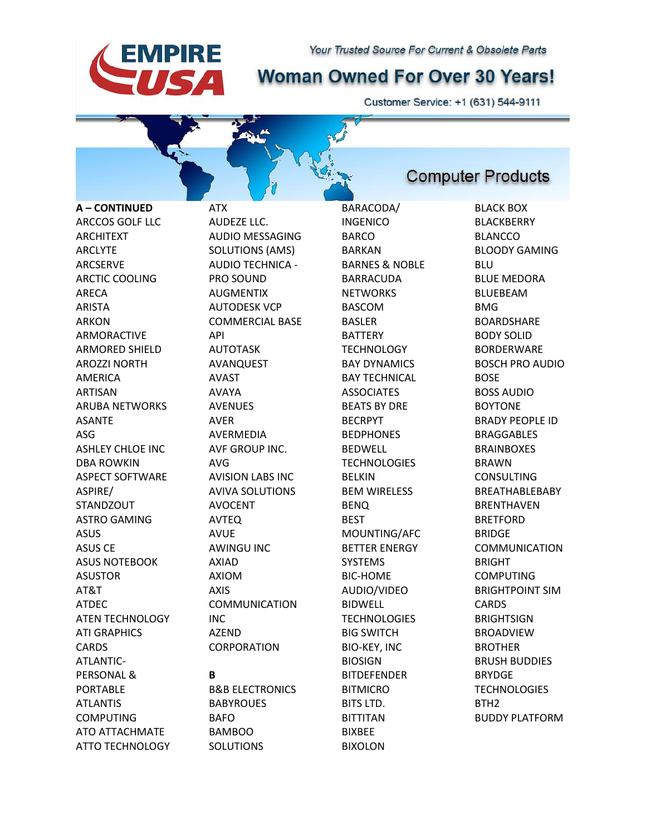

Customer Service: +1 (631) 544-9111

**A – CONTINUED**  ARCCOS GOLF LLC ARCHITEXT ARCLYTE ARCSERVE ARCTIC COOLING ARECA ARISTA ARKON ARMORACTIVE ARMORED SHIELD AROZZI NORTH AMERICA ARTISAN ARUBA NETWORKS ASANTE ASG ASHLEY CHLOE INC DBA ROWKIN ASPECT SOFTWARE ASPIRE/ **STANDZOUT** ASTRO GAMING ASUS ASUS CE ASUS NOTEBOOK ASUSTOR AT&T ATDEC ATEN TECHNOLOGY ATI GRAPHICS **CARDS** ATLANTIC-PERSONAL & PORTABLE ATLANTIS COMPUTING ATO ATTACHMATE

**EMPIRE** 

IS A

ATTO TECHNOLOGY

ATX AUDEZE LLC. AUDIO MESSAGING SOLUTIONS (AMS) AUDIO TECHNICA - PRO SOUND **AUGMENTIX** AUTODESK VCP COMMERCIAL BASE API AUTOTASK AVANQUEST AVAST AVAYA AVENUES AVER AVERMEDIA AVF GROUP INC. AVG AVISION LABS INC AVIVA SOLUTIONS AVOCENT AVTEQ AVUE AWINGU INC AXIAD AXIOM AXIS COMMUNICATION INC AZEND CORPORATION **B** B&B ELECTRONICS

BABYROUES BAFO BAMBOO SOLUTIONS

BARACODA/ INGENICO BARCO BARKAN BARNES & NOBLE BARRACUDA **NFTWORKS** BASCOM BASLER BATTERY **TECHNOLOGY** BAY DYNAMICS BAY TECHNICAL **ASSOCIATES** BEATS BY DRE BECRPYT BEDPHONES **BEDWELL TECHNOLOGIES** BELKIN BEM WIRELESS BENQ BEST MOUNTING/AFC BETTER ENERGY SYSTEMS BIC-HOME AUDIO/VIDEO BIDWELL **TECHNOLOGIES** BIG SWITCH BIO-KEY, INC BIOSIGN **BITDEFENDER** BITMICRO BITS LTD. BITTITAN BIXBEE BIXOLON

## **Computer Products**

BLACK BOX BLACKBERRY BLANCCO BLOODY GAMING BLU BLUE MEDORA **BLUEBEAM** BMG **BOARDSHARE** BODY SOLID BORDERWARE BOSCH PRO AUDIO BOSE BOSS AUDIO BOYTONE BRADY PEOPLE ID BRAGGABLES BRAINBOXES BRAWN CONSULTING BREATHABLEBABY BRENTHAVEN BRETFORD BRIDGE COMMUNICATION BRIGHT COMPUTING BRIGHTPOINT SIM CARDS **BRIGHTSIGN** BROADVIEW BROTHER BRUSH BUDDIES BRYDGE **TECHNOLOGIES** BTH2 BUDDY PLATFORM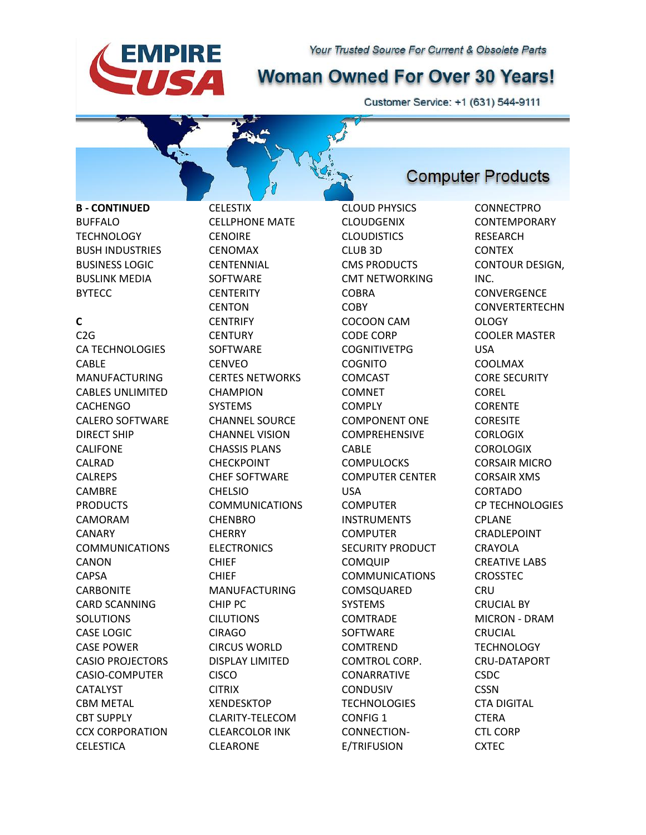# **Woman Owned For Over 30 Years!**

Customer Service: +1 (631) 544-9111

**B - CONTINUED** BUFFALO **TECHNOLOGY** BUSH INDUSTRIES BUSINESS LOGIC BUSLINK MEDIA **BYTECC** 

**EMPIRE** 

IS A

#### **C**

C2G CA TECHNOLOGIES CABLE MANUFACTURING CABLES UNLIMITED CACHENGO CALERO SOFTWARE DIRECT SHIP CALIFONE CALRAD CALREPS CAMBRE PRODUCTS CAMORAM CANARY COMMUNICATIONS CANON CAPSA **CARBONITE** CARD SCANNING SOLUTIONS CASE LOGIC CASE POWER CASIO PROJECTORS CASIO-COMPUTER CATALYST CBM METAL CBT SUPPLY CCX CORPORATION **CELESTICA** 

**CELESTIX** CELLPHONE MATE **CENOIRE** CENOMAX **CENTENNIAL** SOFTWARE **CENTERITY CENTON CENTRIFY CENTURY** SOFTWARE CENVEO CERTES NETWORKS CHAMPION SYSTEMS CHANNEL SOURCE CHANNEL VISION CHASSIS PLANS CHECKPOINT CHEF SOFTWARE CHELSIO COMMUNICATIONS CHENBRO **CHERRY ELECTRONICS** CHIEF CHIEF MANUFACTURING CHIP PC CILUTIONS CIRAGO CIRCUS WORLD DISPLAY LIMITED CISCO **CITRIX** XENDESKTOP CLARITY-TELECOM CLEARCOLOR INK CLEARONE

CLOUD PHYSICS **CLOUDGENIX CLOUDISTICS** CLUB 3D CMS PRODUCTS CMT NETWORKING **COBRA COBY** COCOON CAM CODE CORP COGNITIVETPG **COGNITO** COMCAST COMNET **COMPLY** COMPONENT ONE COMPREHENSIVE CABLE **COMPULOCKS** COMPUTER CENTER USA COMPUTER INSTRUMENTS **COMPUTER** SECURITY PRODUCT **COMQUIP** COMMUNICATIONS COMSQUARED SYSTEMS COMTRADE SOFTWARE COMTREND COMTROL CORP. CONARRATIVE CONDUSIV **TECHNOLOGIES** CONFIG 1 CONNECTION-E/TRIFUSION

**Computer Products** 

CONNECTPRO **CONTEMPORARY** RESEARCH CONTEX CONTOUR DESIGN, INC. **CONVERGENCE CONVERTERTECHN** OLOGY COOLER MASTER USA COOLMAX CORE SECURITY COREL CORENTE **CORESITE CORLOGIX** COROLOGIX CORSAIR MICRO CORSAIR XMS CORTADO CP TECHNOLOGIES CPLANE CRADLEPOINT CRAYOLA CREATIVE LABS CROSSTEC **CRU** CRUCIAL BY MICRON - DRAM CRUCIAL **TECHNOLOGY** CRU-DATAPORT CSDC **CSSN** CTA DIGITAL CTERA CTL CORP **CXTEC**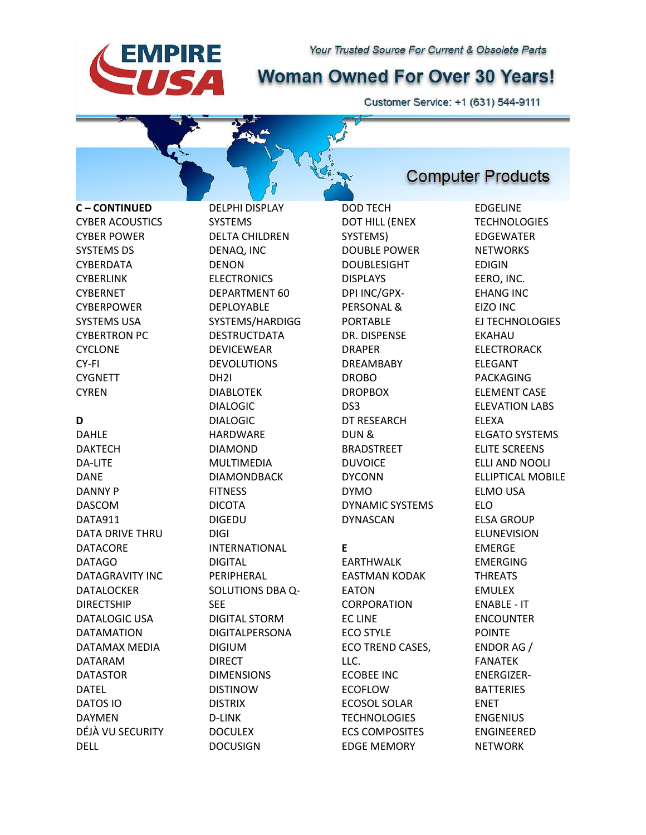# **Woman Owned For Over 30 Years!**

Customer Service: +1 (631) 544-9111

**C – CONTINUED** CYBER ACOUSTICS CYBER POWER SYSTEMS DS CYBERDATA CYBERLINK **CYBERNET CYBERPOWER** SYSTEMS USA CYBERTRON PC CYCLONE CY-FI **CYGNETT** CYREN

**EMPIRE** 

**SA** 

**D** DAHLE DAKTECH DA-LITE DANE DANNY P DASCOM DATA911 DATA DRIVE THRU DATACORE DATAGO DATAGRAVITY INC DATALOCKER DIRECTSHIP DATALOGIC USA DATAMATION DATAMAX MEDIA DATARAM DATASTOR DATEL DATOS IO DAYMEN DÉJÀ VU SECURITY DELL

DELPHI DISPLAY SYSTEMS DELTA CHILDREN DENAQ, INC DENON ELECTRONICS DEPARTMENT 60 DEPLOYABLE SYSTEMS/HARDIGG DESTRUCTDATA DEVICEWEAR DEVOLUTIONS DH2I DIABLOTEK DIALOGIC DIALOGIC HARDWARE DIAMOND MULTIMEDIA DIAMONDBACK **FITNESS** DICOTA DIGEDU DIGI INTERNATIONAL DIGITAL PERIPHERAL SOLUTIONS DBA Q-SEE DIGITAL STORM DIGITALPERSONA DIGIUM DIRECT DIMENSIONS DISTINOW DISTRIX D-LINK **DOCULEX** DOCUSIGN

DOD TECH DOT HILL (ENEX SYSTEMS) DOUBLE POWER DOUBLESIGHT DISPLAYS DPI INC/GPX-PERSONAL & PORTABLE DR. DISPENSE DRAPER DREAMBABY DROBO DROPBOX DS3 DT RESEARCH DUN & BRADSTREET DUVOICE DYCONN DYMO DYNAMIC SYSTEMS DYNASCAN

### **E**

EARTHWALK EASTMAN KODAK EATON CORPORATION EC LINE ECO STYLE ECO TREND CASES, LLC. ECOBEE INC ECOFLOW ECOSOL SOLAR **TECHNOLOGIES** ECS COMPOSITES EDGE MEMORY

### **Computer Products**

EDGELINE **TECHNOLOGIES** EDGEWATER **NETWORKS** EDIGIN EERO, INC. EHANG INC EIZO INC EJ TECHNOLOGIES EKAHAU ELECTRORACK ELEGANT PACKAGING ELEMENT CASE ELEVATION LABS ELEXA ELGATO SYSTEMS ELITE SCREENS ELLI AND NOOLI ELLIPTICAL MOBILE ELMO USA ELO ELSA GROUP ELUNEVISION EMERGE EMERGING THREATS EMULEX ENABLE - IT ENCOUNTER POINTE ENDOR AG / FANATEK ENERGIZER-BATTERIES ENET ENGENIUS ENGINEERED NETWORK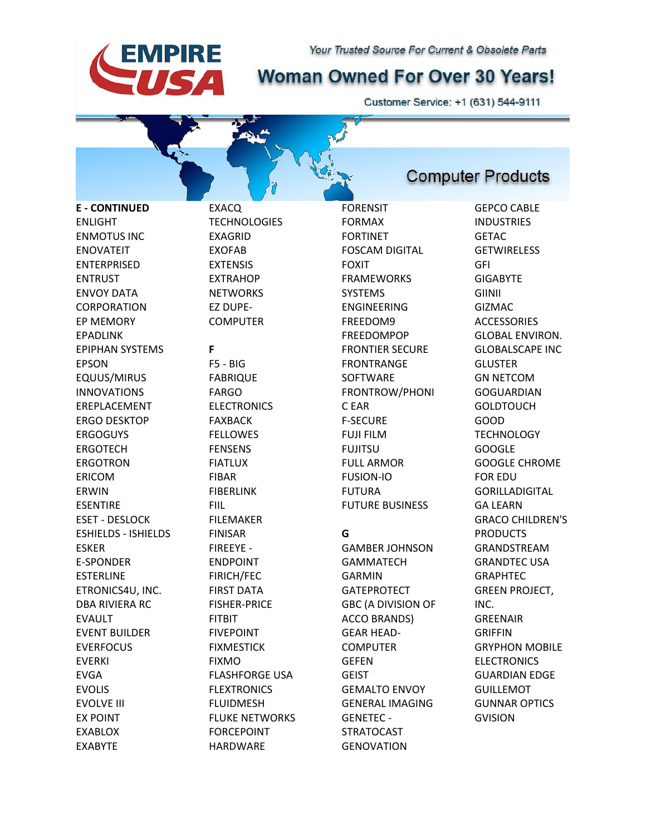

Customer Service: +1 (631) 544-9111

**Computer Products** 

**E - CONTINUED** ENLIGHT ENMOTUS INC ENOVATEIT ENTERPRISED ENTRUST ENVOY DATA CORPORATION EP MEMORY EPADLINK EPIPHAN SYSTEMS EPSON EQUUS/MIRUS INNOVATIONS EREPLACEMENT ERGO DESKTOP ERGOGUYS ERGOTECH **FRGOTRON** ERICOM ERWIN ESENTIRE ESET - DESLOCK ESHIELDS - ISHIELDS ESKER E-SPONDER ESTERLINE ETRONICS4U, INC. DBA RIVIERA RC EVAULT EVENT BUILDER EVERFOCUS EVERKI EVGA EVOLIS EVOLVE III EX POINT

EXABLOX EXABYTE

**TECHNOLOGIES** EXAGRID EXOFAB EXTENSIS EXTRAHOP **NFTWORKS** EZ DUPE-COMPUTER

EXACQ

**EMPIRE** 

SA

# **F**

F5 - BIG FABRIQUE FARGO ELECTRONICS FAXBACK FELLOWES FENSENS FIATLUX FIBAR FIBERLINK FIIL FILEMAKER FINISAR FIREEYE - ENDPOINT FIRICH/FEC FIRST DATA FISHER-PRICE FITBIT FIVEPOINT FIXMESTICK FIXMO FLASHFORGE USA FLEXTRONICS FLUIDMESH FLUKE NETWORKS FORCEPOINT HARDWARE

FORENSIT FORMAX FORTINET FOSCAM DIGITAL FOXIT FRAMEWORKS **SYSTEMS** ENGINEERING FREEDOM9 FREEDOMPOP FRONTIER SECURE FRONTRANGE SOFTWARE FRONTROW/PHONI C EAR F-SECURE FUJI FILM FUJITSU FULL ARMOR FUSION-IO FUTURA FUTURE BUSINESS

### **G**

GAMBER JOHNSON GAMMATECH GARMIN GATEPROTECT GBC (A DIVISION OF ACCO BRANDS) GEAR HEAD-COMPUTER GEFEN **GEIST** GEMALTO ENVOY GENERAL IMAGING GENETEC - **STRATOCAST GENOVATION** 

GEPCO CABLE **INDUSTRIES GETAC GETWIRELESS** GFI **GIGABYTE** GIINII GIZMAC **ACCESSORIES** GLOBAL ENVIRON. GLOBALSCAPE INC **GLUSTER** GN NETCOM **GOGUARDIAN GOLDTOUCH** GOOD **TECHNOLOGY** GOOGLE GOOGLE CHROME FOR EDU GORILLADIGITAL GA LEARN GRACO CHILDREN'S PRODUCTS GRANDSTREAM GRANDTEC USA GRAPHTEC GREEN PROJECT, INC. **GREENAIR** GRIFFIN GRYPHON MOBILE **ELECTRONICS** GUARDIAN EDGE GUILLEMOT GUNNAR OPTICS GVISION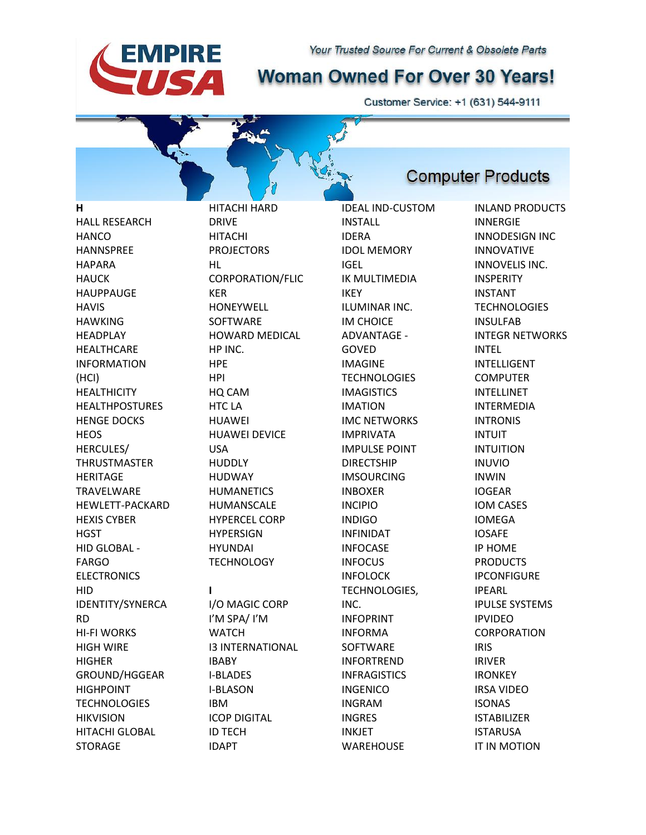# **Woman Owned For Over 30 Years!**

Customer Service: +1 (631) 544-9111

**Computer Products** 

**H** HALL RESEARCH **HANCO** HANNSPREE HAPARA **HAUCK HAUPPAUGE HAVIS** HAWKING HEADPLAY **HEALTHCARE** INFORMATION (HCI) **HEALTHICITY** HEALTHPOSTURES HENGE DOCKS **HEOS** HERCULES/ **THRUSTMASTER** HERITAGE TRAVELWARE HEWLETT-PACKARD HEXIS CYBER **HGST** HID GLOBAL - FARGO ELECTRONICS HID IDENTITY/SYNERCA RD HI-FI WORKS HIGH WIRE HIGHER GROUND/HGGEAR HIGHPOINT **TECHNOLOGIES** HIKVISION HITACHI GLOBAL

**EMPIRE** 

SA

**STORAGE** 

HITACHI HARD DRIVE HITACHI PROJECTORS HL CORPORATION/FLIC KER HONEYWELL **SOFTWARE** HOWARD MEDICAL HP INC. HPE HPI HQ CAM HTC LA HUAWEI HUAWEI DEVICE USA HUDDLY HUDWAY **HUMANETICS** HUMANSCALE HYPERCEL CORP **HYPERSIGN** HYUNDAI **TECHNOLOGY I** I/O MAGIC CORP I'M SPA/ I'M **WATCH** I3 INTERNATIONAL IBABY I-BLADES I-BLASON IBM ICOP DIGITAL

ID TECH IDAPT

IDEAL IND-CUSTOM INSTALL IDERA IDOL MEMORY IGEL IK MULTIMEDIA IKEY ILUMINAR INC. IM CHOICE ADVANTAGE - GOVED IMAGINE **TECHNOLOGIES** IMAGISTICS IMATION IMC NETWORKS IMPRIVATA IMPULSE POINT DIRECTSHIP IMSOURCING INBOXER INCIPIO INDIGO INFINIDAT INFOCASE INFOCUS INFOLOCK TECHNOLOGIES, INC. INFOPRINT INFORMA SOFTWARE INFORTREND INFRAGISTICS INGENICO INGRAM INGRES INKJET **WAREHOUSE** 

INLAND PRODUCTS INNERGIE INNODESIGN INC INNOVATIVE INNOVELIS INC. INSPERITY INSTANT **TECHNOLOGIES** INSULFAB INTEGR NETWORKS INTEL INTELLIGENT COMPUTER INTELLINET INTERMEDIA INTRONIS INTUIT INTUITION INUVIO INWIN IOGEAR IOM CASES IOMEGA IOSAFE IP HOME PRODUCTS IPCONFIGURE IPEARL IPULSE SYSTEMS IPVIDEO CORPORATION IRIS IRIVER IRONKEY IRSA VIDEO ISONAS ISTABILIZER ISTARUSA IT IN MOTION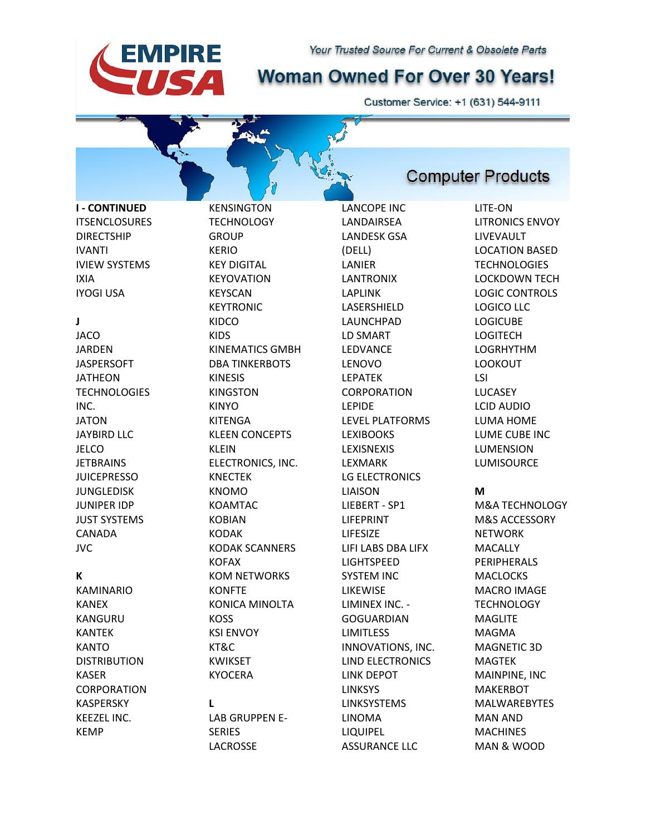# **Woman Owned For Over 30 Years!**

Customer Service: +1 (631) 544-9111

**I - CONTINUED ITSENCLOSURES** DIRECTSHIP IVANTI IVIEW SYSTEMS IXIA IYOGI USA

**EMPIRE** 

**SA** 

#### **J**

**JACO** JARDEN JASPERSOFT JATHEON **TECHNOLOGIES** INC. JATON JAYBIRD LLC **JELCO IFTBRAINS** JUICEPRESSO **JUNGLEDISK** JUNIPER IDP JUST SYSTEMS CANADA JVC

#### **K**

KAMINARIO KANEX KANGURU KANTEK **KANTO** DISTRIBUTION KASER CORPORATION KASPERSKY KEEZEL INC. KEMP

KENSINGTON **TECHNOLOGY GROUP** KERIO KEY DIGITAL KEYOVATION **KEYSCAN** KEYTRONIC KIDCO KIDS KINEMATICS GMBH DBA TINKERBOTS KINESIS KINGSTON KINYO KITENGA KLEEN CONCEPTS KLEIN ELECTRONICS, INC. KNECTEK KNOMO KOAMTAC KOBIAN KODAK KODAK SCANNERS KOFAX KOM NETWORKS **KONFTE** KONICA MINOLTA KOSS KSI ENVOY KT&C KWIKSET KYOCERA **L** LAB GRUPPEN E-SERIES

LACROSSE

LANCOPE INC LANDAIRSEA LANDESK GSA (DELL) LANIER LANTRONIX LAPLINK LASERSHIELD LAUNCHPAD LD SMART LEDVANCE LENOVO LEPATEK **CORPORATION** LEPIDE LEVEL PLATFORMS LEXIBOOKS LEXISNEXIS LEXMARK LG ELECTRONICS LIAISON LIEBERT - SP1 LIFEPRINT LIFESIZE LIFI LABS DBA LIFX LIGHTSPEED SYSTEM INC LIKEWISE LIMINEX INC. - GOGUARDIAN LIMITLESS INNOVATIONS, INC. LIND ELECTRONICS LINK DEPOT LINKSYS LINKSYSTEMS LINOMA LIQUIPEL ASSURANCE LLC

### **Computer Products**

LITE-ON LITRONICS ENVOY LIVEVAULT LOCATION BASED **TECHNOLOGIES** LOCKDOWN TECH LOGIC CONTROLS LOGICO LLC LOGICUBE LOGITECH LOGRHYTHM LOOKOUT LSI LUCASEY LCID AUDIO LUMA HOME LUME CUBE INC **LUMENSION** LUMISOURCE

#### **M**

M&A TECHNOLOGY M&S ACCESSORY **NETWORK** MACALLY PERIPHERALS **MACLOCKS** MACRO IMAGE **TECHNOLOGY MAGLITE** MAGMA MAGNETIC 3D MAGTEK MAINPINE, INC MAKERBOT MALWAREBYTES MAN AND **MACHINES** MAN & WOOD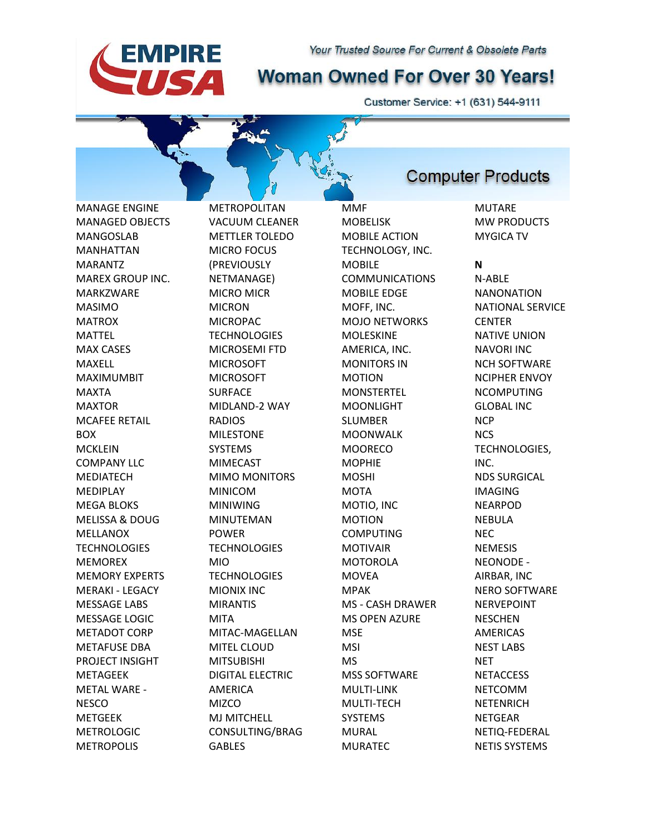# **Woman Owned For Over 30 Years!**

Customer Service: +1 (631) 544-9111

MANAGE ENGINE MANAGED OBJECTS MANGOSLAB MANHATTAN MARANTZ MAREX GROUP INC. MARKZWARE MASIMO MATROX MATTEL MAX CASES MAXELL MAXIMUMBIT MAXTA MAXTOR MCAFEE RETAIL BOX MCKLEIN COMPANY **LLC** MEDIATECH **MEDIPLAY** MEGA BLOKS MELISSA & DOUG MELLANOX **TECHNOLOGIES** MEMOREX MEMORY EXPERTS MERAKI - LEGACY MESSAGE LABS MESSAGE LOGIC METADOT CORP METAFUSE DBA PROJECT INSIGHT METAGEEK METAL WARE - NESCO METGEEK METROLOGIC

**EMPIRE** 

SA

METROPOLIS

METROPOLITAN VACUUM CLEANER METTLER TOLEDO MICRO FOCUS (PREVIOUSLY NETMANAGE) MICRO MICR MICRON **MICROPAC TECHNOLOGIES** MICROSEMI FTD MICROSOFT MICROSOFT SURFACE MIDLAND-2 WAY RADIOS MILESTONE SYSTEMS MIMECAST MIMO MONITORS MINICOM MINIWING MINUTEMAN POWER **TECHNOLOGIES** MIO **TECHNOLOGIES** MIONIX INC MIRANTIS MITA MITAC-MAGELLAN MITEL CLOUD MITSUBISHI DIGITAL ELECTRIC AMERICA **MIZCO** MJ MITCHELL CONSULTING/BRAG GABLES

MMF MOBELISK MOBILE ACTION TECHNOLOGY, INC. MOBILE COMMUNICATIONS MOBILE EDGE MOFF, INC. MOJO NETWORKS MOLESKINE AMERICA, INC. MONITORS IN MOTION **MONSTERTEL** MOONLIGHT SLUMBER MOONWALK **MOORECO MOPHIE** MOSHI **MOTA** MOTIO, INC MOTION COMPUTING MOTIVAIR MOTOROLA MOVEA MPAK MS - CASH DRAWER MS OPEN AZURE **MSE** MSI MS MSS SOFTWARE MULTI-LINK MULTI-TECH SYSTEMS MURAL MURATEC

## **Computer Products**

MUTARE MW PRODUCTS MYGICA TV

#### **N**

N-ABLE NANONATION NATIONAL SERVICE **CENTER** NATIVE UNION NAVORI INC NCH SOFTWARE NCIPHER ENVOY NCOMPUTING GLOBAL INC **NCP NCS** TECHNOLOGIES, INC. NDS SURGICAL IMAGING NEARPOD NEBULA NEC NEMESIS NEONODE - AIRBAR, INC NERO SOFTWARE NERVEPOINT **NESCHEN** AMERICAS NEST LABS **NET NETACCESS** NETCOMM NETENRICH NETGEAR NETIQ-FEDERAL NETIS SYSTEMS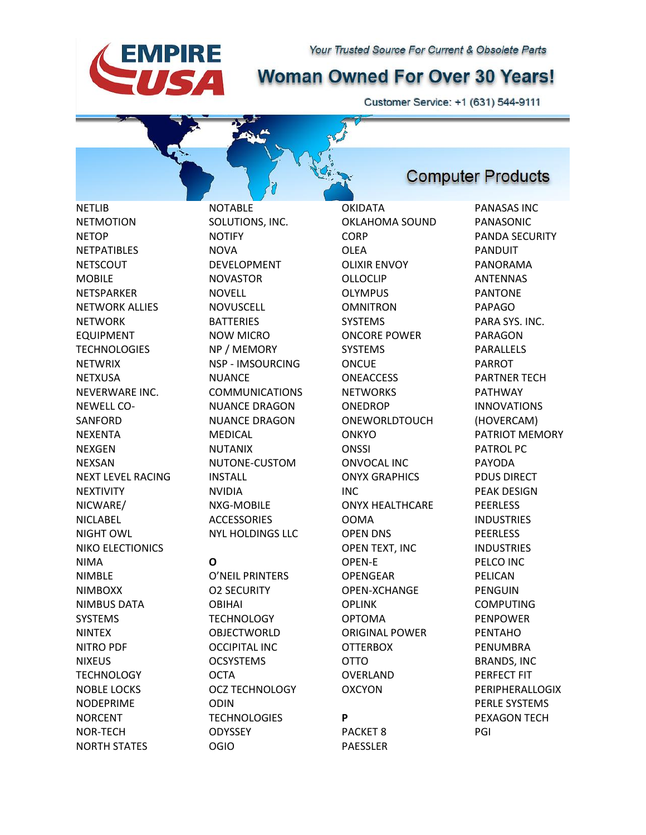# **Woman Owned For Over 30 Years!**

Customer Service: +1 (631) 544-9111

NETLIB NETMOTION NETOP NETPATIBLES **NETSCOUT** MOBILE **NFTSPARKER** NETWORK ALLIES **NFTWORK** EQUIPMENT **TECHNOLOGIES NETWRIX** NETXUSA NEVERWARE INC. NEWELL CO-SANFORD NEXENTA NEXGEN **NEXSAN** NEXT LEVEL RACING **NEXTIVITY** NICWARE/ NICLABEL NIGHT OWL NIKO ELECTIONICS NIMA NIMBLE NIMBOXX NIMBUS DATA SYSTEMS NINTEX NITRO PDF NIXEUS **TECHNOLOGY** NOBLE LOCKS NODEPRIME NORCENT NOR-TECH

**EMPIRE** 

SA

NORTH STATES

NOTABLE SOLUTIONS, INC. NOTIFY NOVA DEVELOPMENT NOVASTOR NOVELL **NOVUSCELL BATTERIES** NOW MICRO NP / MEMORY NSP - IMSOURCING **NUANCE** COMMUNICATIONS NUANCE DRAGON NUANCE DRAGON MEDICAL NUTANIX NUTONE-CUSTOM INSTALL NVIDIA NXG-MOBILE **ACCESSORIES** NYL HOLDINGS LLC

### **O**

O'NEIL PRINTERS O2 SECURITY OBIHAI **TECHNOLOGY** OBJECTWORLD OCCIPITAL INC OCSYSTEMS **OCTA** OCZ TECHNOLOGY ODIN **TECHNOLOGIES ODYSSEY** OGIO

OKIDATA OKLAHOMA SOUND **CORP** OLEA OLIXIR ENVOY OLLOCLIP OLYMPUS OMNITRON **SYSTEMS** ONCORE POWER SYSTEMS **ONCUE ONEACCESS NETWORKS** ONEDROP ONEWORLDTOUCH **ONKYO ONSSI** ONVOCAL INC ONYX GRAPHICS INC ONYX HEALTHCARE OOMA OPEN DNS OPEN TEXT, INC OPEN-E OPENGEAR OPEN-XCHANGE OPLINK OPTOMA ORIGINAL POWER **OTTERBOX** OTTO OVERLAND OXCYON **P**

PACKET 8 PAESSLER **Computer Products** 

PANASAS INC PANASONIC PANDA SECURITY PANDUIT PANORAMA ANTENNAS PANTONE PAPAGO PARA SYS. INC. PARAGON PARALLELS PARROT PARTNER TECH PATHWAY INNOVATIONS (HOVERCAM) PATRIOT MEMORY PATROL PC PAYODA PDUS DIRECT PEAK DESIGN PEERLESS **INDUSTRIES PEERLESS** INDUSTRIES PELCO INC PELICAN PENGUIN COMPUTING PENPOWER PENTAHO PENUMBRA BRANDS, INC PERFECT FIT PERIPHERALLOGIX PERLE SYSTEMS PEXAGON TECH PGI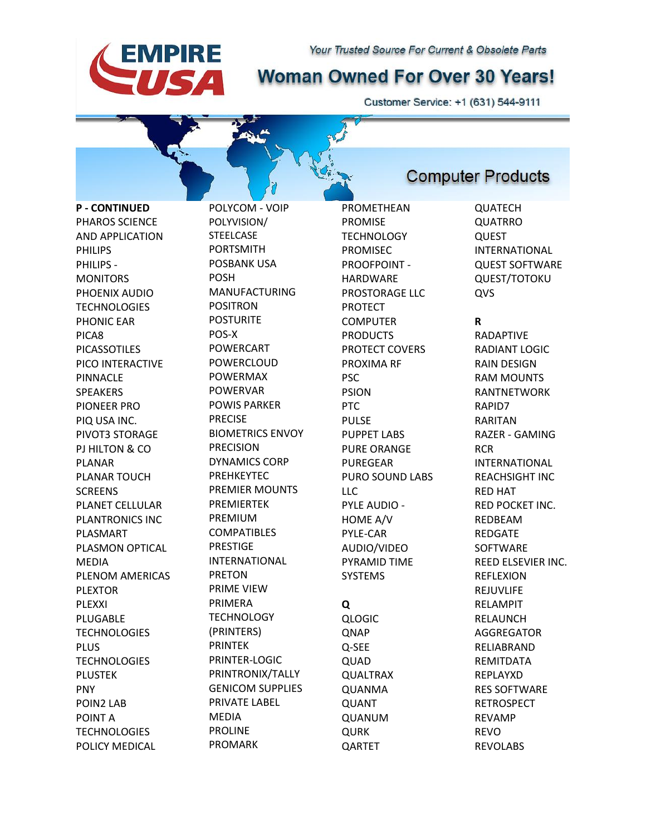

Customer Service: +1 (631) 544-9111

**P - CONTINUED** PHAROS SCIENCE AND APPLICATION PHILIPS PHILIPS - MONITORS PHOENIX AUDIO **TECHNOLOGIES** PHONIC EAR PICA8 PICASSOTILES PICO INTERACTIVE PINNACLE SPEAKERS PIONEER PRO PIQ USA INC. PIVOT3 STORAGE PJ HILTON & CO PLANAR PLANAR TOUCH **SCREENS** PLANET CELLULAR PLANTRONICS INC PLASMART PLASMON OPTICAL MEDIA PLENOM AMERICAS PLEXTOR PLEXXI PLUGABLE **TECHNOLOGIES** PLUS **TECHNOLOGIES** PLUSTEK PNY POIN2 LAB POINT A **TECHNOLOGIES** 

**EMPIRE** 

**SA** 

POLICY MEDICAL

POLYCOM - VOIP POLYVISION/ **STEELCASE** PORTSMITH POSBANK USA POSH MANUFACTURING POSITRON **POSTURITE** POS-X POWERCART POWERCLOUD POWERMAX POWERVAR POWIS PARKER PRECISE BIOMETRICS ENVOY PRECISION DYNAMICS CORP PREHKEYTEC PREMIER MOUNTS PREMIERTEK PREMIUM **COMPATIBLES** PRESTIGE INTERNATIONAL PRETON PRIME VIEW PRIMERA **TECHNOLOGY** (PRINTERS) PRINTEK PRINTER-LOGIC PRINTRONIX/TALLY GENICOM SUPPLIES PRIVATE LABEL MEDIA PROLINE PROMARK

PROMETHEAN PROMISE **TECHNOLOGY** PROMISEC PROOFPOINT - HARDWARE PROSTORAGE LLC. PROTECT **COMPUTER** PRODUCTS PROTECT COVERS PROXIMA RF PSC PSION PTC PULSE PUPPET LABS PURE ORANGE PUREGEAR PURO SOUND LABS LLC PYLE AUDIO - HOME A/V PYLE-CAR AUDIO/VIDEO PYRAMID TIME SYSTEMS **Q** QLOGIC **QNAP** Q-SEE

QUAD QUALTRAX QUANMA QUANT QUANUM QURK **OARTET** 

### **Computer Products**

QUATECH QUATRRO QUEST INTERNATIONAL QUEST SOFTWARE QUEST/TOTOKU **OVS** 

### **R**

RADAPTIVE RADIANT LOGIC RAIN DESIGN RAM MOUNTS RANTNETWORK RAPID7 RARITAN RAZER - GAMING RCR INTERNATIONAL REACHSIGHT INC RED HAT RED POCKET INC. REDBEAM REDGATE SOFTWARE REED ELSEVIER INC. REFLEXION REJUVLIFE RELAMPIT RELAUNCH AGGREGATOR RELIABRAND REMITDATA REPLAYXD RES SOFTWARE RETROSPECT REVAMP REVO REVOLABS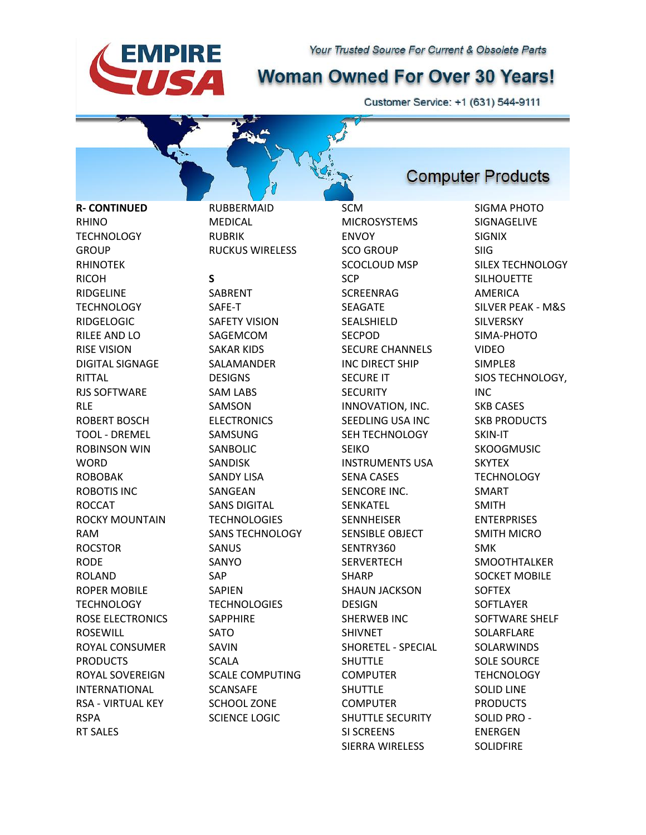# **Woman Owned For Over 30 Years!**

Customer Service: +1 (631) 544-9111

**R- CONTINUED** RHINO **TECHNOLOGY GROUP** RHINOTEK RICOH RIDGELINE **TECHNOLOGY** RIDGELOGIC RILEE AND LO RISE VISION DIGITAL SIGNAGE RITTAL RJS SOFTWARE RLE ROBERT BOSCH TOOL - DREMEL ROBINSON WIN **WORD** ROBOBAK ROBOTIS INC ROCCAT ROCKY MOUNTAIN RAM ROCSTOR RODE ROLAND ROPER MOBILE **TECHNOLOGY** ROSE ELECTRONICS ROSEWILL ROYAL CONSUMER PRODUCTS ROYAL SOVEREIGN INTERNATIONAL RSA - VIRTUAL KEY RSPA

RT SALES

MEDICAL RUBRIK RUCKUS WIRELESS **S** SABRENT SAFE-T SAFETY VISION SAGEMCOM SAKAR KIDS SALAMANDER **DESIGNS** SAM LABS SAMSON **ELECTRONICS** SAMSUNG SANBOLIC SANDISK SANDY LISA SANGEAN SANS DIGITAL **TECHNOLOGIES** SANS TECHNOLOGY SANUS SANYO SAP SAPIEN **TECHNOLOGIES** SAPPHIRE SATO SAVIN SCALA SCALE COMPUTING SCANSAFE SCHOOL ZONE SCIENCE LOGIC

RUBBERMAID

**EMPIRE** 

SA

SCM MICROSYSTEMS ENVOY SCO GROUP SCOCLOUD MSP **SCP** SCREENRAG SEAGATE SEALSHIELD SECPOD SECURE CHANNELS INC DIRECT SHIP SECURE IT **SECURITY** INNOVATION, INC. SEEDLING USA INC SEH TECHNOLOGY SEIKO INSTRUMENTS USA SENA CASES SENCORE INC. SENKATEL **SENNHEISER** SENSIBLE OBJECT SENTRY360 **SERVERTECH** SHARP SHAUN JACKSON DESIGN SHERWEB INC SHIVNET SHORETEL - SPECIAL SHUTTLE **COMPUTER** SHUTTLE **COMPUTER** SHUTTLE SECURITY SI SCREENS SIERRA WIRELESS

# **Computer Products**

SIGMA PHOTO SIGNAGELIVE SIGNIX SIIG SILEX TECHNOLOGY SILHOUETTE AMERICA SILVER PEAK - M&S SILVERSKY SIMA-PHOTO VIDEO SIMPLE8 SIOS TECHNOLOGY, INC SKB CASES SKB PRODUCTS SKIN-IT **SKOOGMUSIC SKYTFX TECHNOLOGY** SMART SMITH ENTERPRISES SMITH MICRO SMK SMOOTHTALKER SOCKET MOBILE **SOFTEX** SOFTLAYER SOFTWARE SHELF SOLARFLARE SOLARWINDS SOLE SOURCE **TEHCNOLOGY** SOLID LINE PRODUCTS SOLID PRO - ENERGEN SOLIDFIRE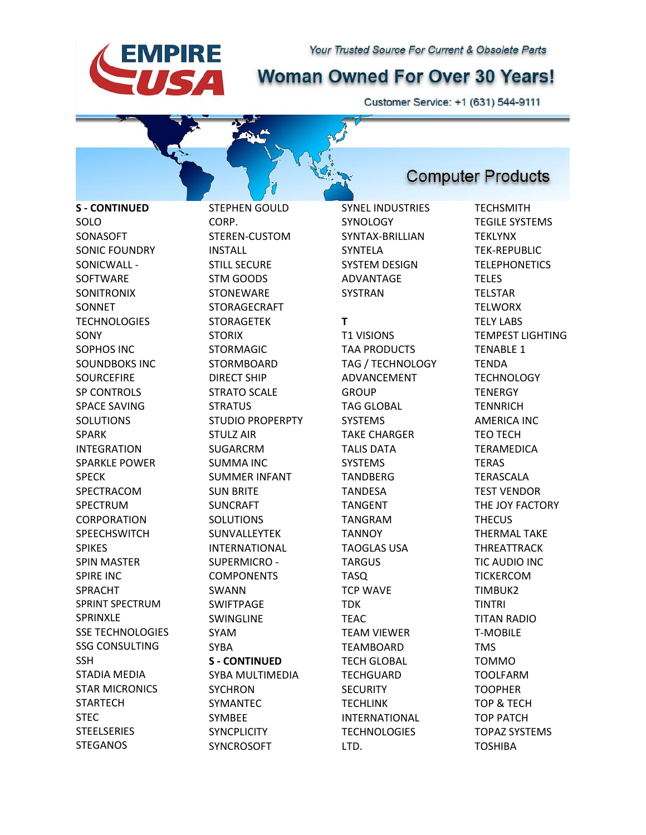

Customer Service: +1 (631) 544-9111

**Computer Products** 

**S - CONTINUED** SOLO SONASOFT SONIC FOUNDRY SONICWALL - SOFTWARE SONITRONIX **SONNET TECHNOLOGIES** SONY SOPHOS INC SOUNDBOKS INC **SOURCEFIRE** SP CONTROLS SPACE SAVING SOLUTIONS SPARK INTEGRATION SPARKLE POWER SPECK SPECTRACOM SPECTRUM CORPORATION **SPEECHSWITCH** SPIKES SPIN MASTER SPIRE INC SPRACHT SPRINT SPECTRUM SPRINXLE SSE TECHNOLOGIES SSG CONSULTING **SSH** STADIA MEDIA STAR MICRONICS **STARTECH** STEC **STEELSERIES** 

**EMPIRE** 

IS A

**STEGANOS** 

STEPHEN GOULD CORP. STEREN-CUSTOM INSTALL STILL SECURE STM GOODS **STONEWARE** STORAGECRAFT STORAGETEK **STORIX** STORMAGIC STORMBOARD DIRECT SHIP STRATO SCALE **STRATUS** STUDIO PROPERPTY STULZ AIR SUGARCRM SUMMA INC SUMMER INFANT SUN BRITE SUNCRAFT SOLUTIONS SUNVALLEYTEK INTERNATIONAL SUPERMICRO - COMPONENTS SWANN SWIFTPAGE SWINGLINE SYAM SYBA **S - CONTINUED** SYBA MULTIMEDIA **SYCHRON** SYMANTEC SYMBEE **SYNCPLICITY** SYNCROSOFT

SYNEL INDUSTRIES **SYNOLOGY** SYNTAX-BRILLIAN SYNTELA SYSTEM DESIGN ADVANTAGE SYSTRAN

### **T**

T1 VISIONS TAA PRODUCTS TAG / TECHNOLOGY ADVANCEMENT **GROUP** TAG GLOBAL SYSTEMS TAKE CHARGER TALIS DATA **SYSTEMS** TANDBERG TANDESA TANGENT TANGRAM **TANNOY** TAOGLAS USA TARGUS TASQ TCP WAVE TDK TEAC TEAM VIEWER TEAMBOARD TECH GLOBAL **TECHGUARD SECURITY** TECHLINK INTERNATIONAL **TECHNOLOGIES** LTD.

**TECHSMITH** TEGILE SYSTEMS TEKLYNX TEK-REPUBLIC TELEPHONETICS TELES TELSTAR **TELWORX** TELY LABS TEMPEST LIGHTING TENABLE 1 TENDA **TECHNOLOGY TENERGY TENNRICH** AMERICA INC TEO TECH TERAMEDICA TERAS TERASCALA TEST VENDOR THE JOY FACTORY **THECUS** THERMAL TAKE THREATTRACK TIC AUDIO INC TICKERCOM TIMBUK2 TINTRI TITAN RADIO T-MOBILE TMS TOMMO TOOLFARM TOOPHER TOP & TECH TOP PATCH TOPAZ SYSTEMS TOSHIBA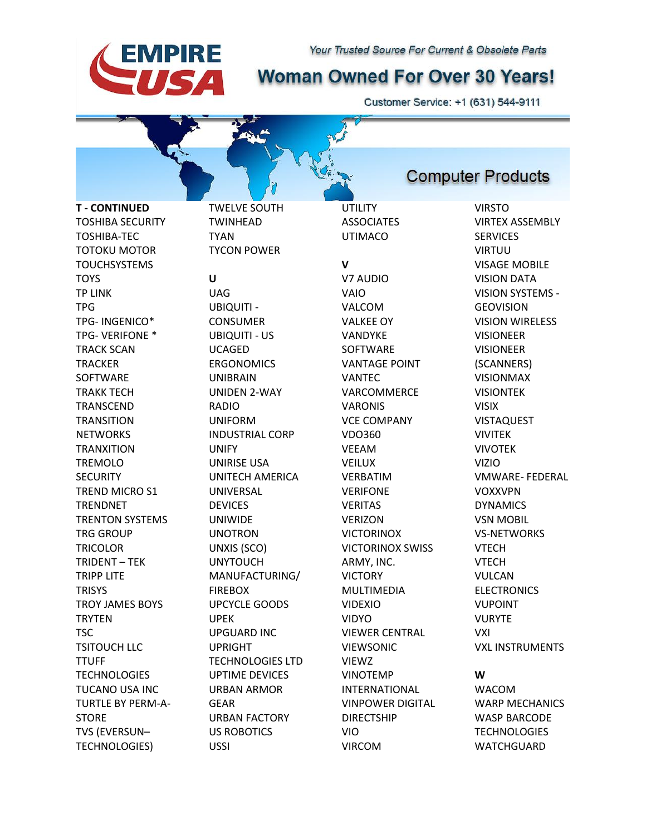# **Woman Owned For Over 30 Years!**

**UTILITY** 

Customer Service: +1 (631) 544-9111

**T - CONTINUED** TOSHIBA SECURITY TOSHIBA-TEC TOTOKU MOTOR TOUCHSYSTEMS **TOYS** TP LINK TPG TPG- INGENICO\* TPG- VERIFONE \* TRACK SCAN **TRACKER** SOFTWARE TRAKK TECH TRANSCEND **TRANSITION NETWORKS** TRANXITION TREMOLO **SECURITY** TREND MICRO S1 TRENDNET TRENTON SYSTEMS TRG GROUP TRICOLOR TRIDENT – TEK TRIPP LITE **TRISYS** TROY JAMES BOYS **TRYTEN** TSC TSITOUCH LLC TTUFF **TECHNOLOGIES** TUCANO USA INC TURTLE BY PERM-A-STORE TVS (EVERSUN– TECHNOLOGIES)

TWINHEAD TYAN TYCON POWER **U** UAG UBIQUITI - **CONSUMER** UBIQUITI - US UCAGED **ERGONOMICS** UNIBRAIN UNIDEN 2-WAY RADIO UNIFORM INDUSTRIAL CORP UNIFY UNIRISE USA UNITECH AMERICA UNIVERSAL DEVICES UNIWIDE UNOTRON UNXIS (SCO) UNYTOUCH MANUFACTURING/ **FIREBOX** UPCYCLE GOODS UPEK UPGUARD INC UPRIGHT TECHNOLOGIES LTD UPTIME DEVICES URBAN ARMOR GEAR URBAN FACTORY US ROBOTICS USSI

TWELVE SOUTH

**EMPIRE** 

IS A

**ASSOCIATES** UTIMACO **V** V7 AUDIO VAIO VALCOM VALKEE OY VANDYKE SOFTWARE VANTAGE POINT VANTEC VARCOMMERCE VARONIS VCE COMPANY VDO360 VEEAM VEILUX VERBATIM VERIFONE VERITAS **VERIZON VICTORINOX** VICTORINOX SWISS ARMY, INC. VICTORY MULTIMEDIA VIDEXIO VIDYO VIEWER CENTRAL VIEWSONIC VIEWZ VINOTEMP INTERNATIONAL VINPOWER DIGITAL DIRECTSHIP VIO VIRCOM

VIRSTO VIRTEX ASSEMBLY **SERVICES** VIRTUU VISAGE MOBILE VISION DATA VISION SYSTEMS - GEOVISION VISION WIRELESS VISIONEER VISIONEER (SCANNERS) VISIONMAX VISIONTEK VISIX VISTAQUEST VIVITEK VIVOTEK VIZIO VOXXVPN DYNAMICS

VMWARE- FEDERAL VSN MOBIL VS-NETWORKS VTECH VTECH VULCAN **ELECTRONICS** VUPOINT VURYTE VXI VXL INSTRUMENTS

**W**

WACOM WARP MECHANICS WASP BARCODE **TECHNOLOGIES WATCHGUARD** 

### **Computer Products**